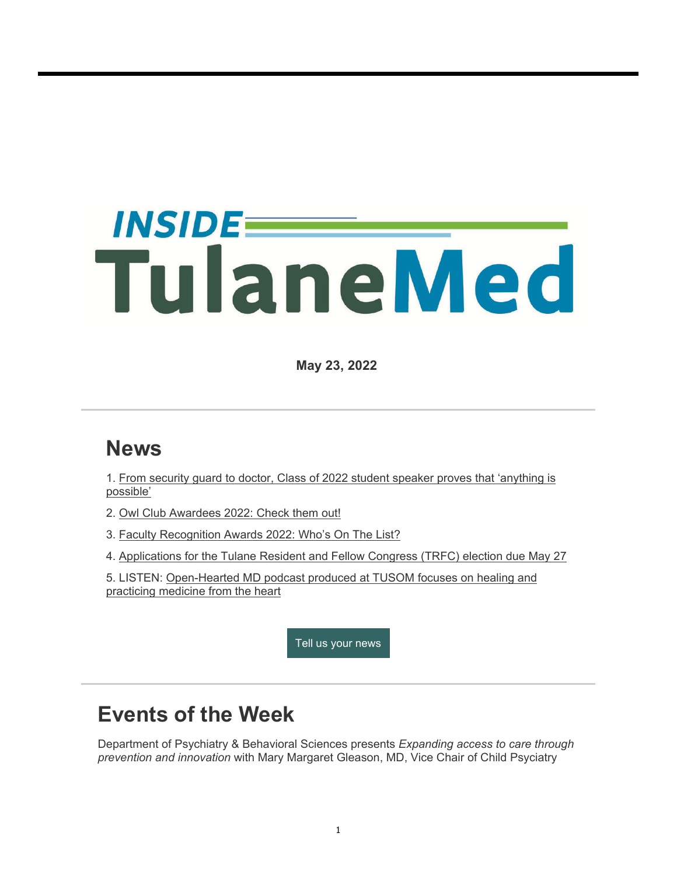# *INSIDEE* TulaneMed

**May 23, 2022**

#### **News**

1. From security guard to doctor, Class of 2022 student speaker proves that 'anything is possible'

- 2. Owl Club Awardees 2022: Check them out!
- 3. Faculty Recognition Awards 2022: Who's On The List?
- 4. Applications for the Tulane Resident and Fellow Congress (TRFC) election due May 27
- 5. LISTEN: Open-Hearted MD podcast produced at TUSOM focuses on healing and practicing medicine from the heart

Tell us your news

## **Events of the Week**

Department of Psychiatry & Behavioral Sciences presents *Expanding access to care through prevention and innovation* with Mary Margaret Gleason, MD, Vice Chair of Child Psyciatry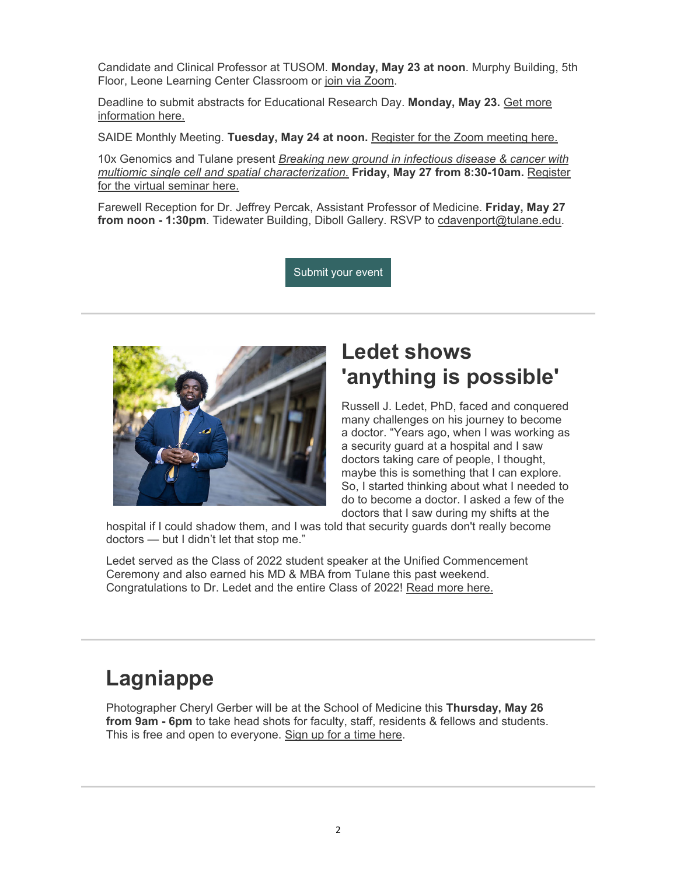Candidate and Clinical Professor at TUSOM. **Monday, May 23 at noon**. Murphy Building, 5th Floor, Leone Learning Center Classroom or join via Zoom.

Deadline to submit abstracts for Educational Research Day. **Monday, May 23.** Get more information here.

SAIDE Monthly Meeting. **Tuesday, May 24 at noon.** Register for the Zoom meeting here.

10x Genomics and Tulane present *Breaking new ground in infectious disease & cancer with multiomic single cell and spatial characterization.* **Friday, May 27 from 8:30-10am.** Register for the virtual seminar here.

Farewell Reception for Dr. Jeffrey Percak, Assistant Professor of Medicine. **Friday, May 27**  from noon - 1:30pm. Tidewater Building, Diboll Gallery. RSVP to cdavenport@tulane.edu.

Submit your event



#### **Ledet shows 'anything is possible'**

Russell J. Ledet, PhD, faced and conquered many challenges on his journey to become a doctor. "Years ago, when I was working as a security guard at a hospital and I saw doctors taking care of people, I thought, maybe this is something that I can explore. So, I started thinking about what I needed to do to become a doctor. I asked a few of the doctors that I saw during my shifts at the

hospital if I could shadow them, and I was told that security guards don't really become doctors — but I didn't let that stop me."

Ledet served as the Class of 2022 student speaker at the Unified Commencement Ceremony and also earned his MD & MBA from Tulane this past weekend. Congratulations to Dr. Ledet and the entire Class of 2022! Read more here.

## **Lagniappe**

Photographer Cheryl Gerber will be at the School of Medicine this **Thursday, May 26 from 9am - 6pm** to take head shots for faculty, staff, residents & fellows and students. This is free and open to everyone. Sign up for a time here.